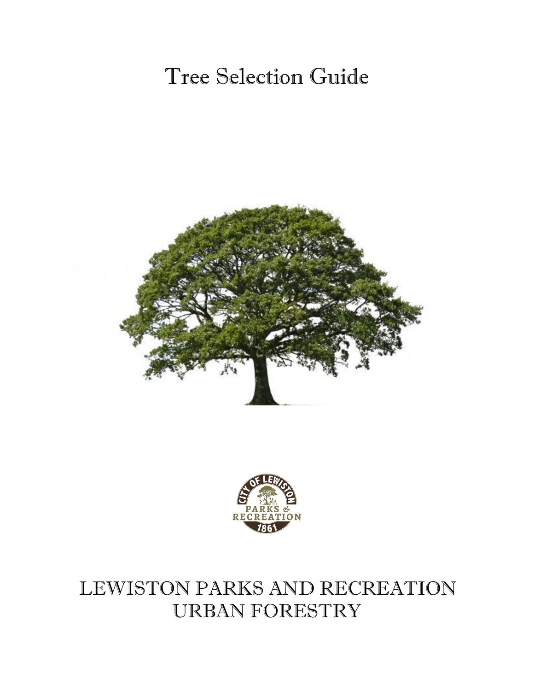# Tree Selection Guide





## LEWISTON PARKS AND RECREATION URBAN FORESTRY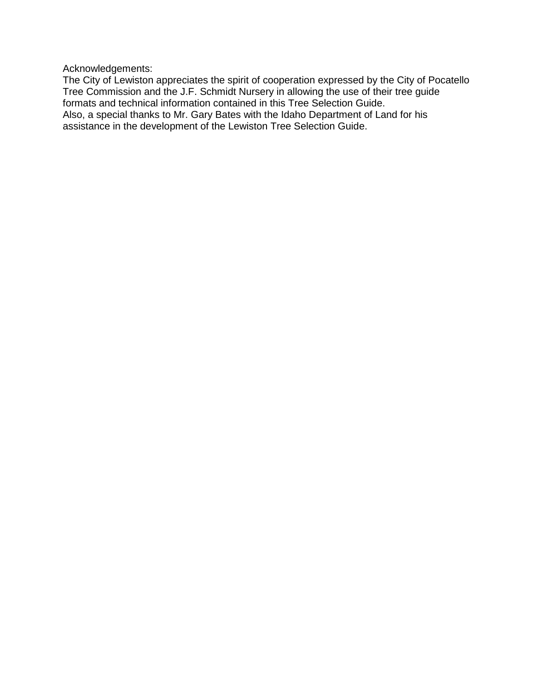Acknowledgements:

The City of Lewiston appreciates the spirit of cooperation expressed by the City of Pocatello Tree Commission and the J.F. Schmidt Nursery in allowing the use of their tree guide formats and technical information contained in this Tree Selection Guide. Also, a special thanks to Mr. Gary Bates with the Idaho Department of Land for his assistance in the development of the Lewiston Tree Selection Guide.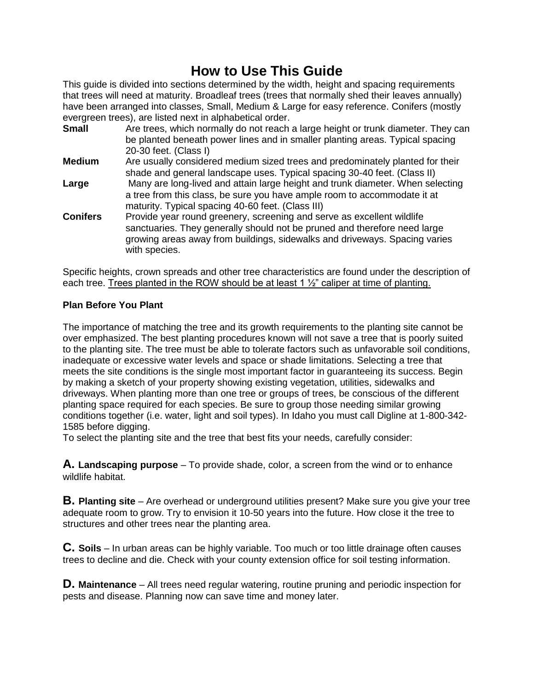## **How to Use This Guide**

This guide is divided into sections determined by the width, height and spacing requirements that trees will need at maturity. Broadleaf trees (trees that normally shed their leaves annually) have been arranged into classes, Small, Medium & Large for easy reference. Conifers (mostly evergreen trees), are listed next in alphabetical order.

- **Small** Are trees, which normally do not reach a large height or trunk diameter. They can be planted beneath power lines and in smaller planting areas. Typical spacing 20-30 feet. (Class I) **Medium** Are usually considered medium sized trees and predominately planted for their shade and general landscape uses. Typical spacing 30-40 feet. (Class II) **Large** Many are long-lived and attain large height and trunk diameter. When selecting a tree from this class, be sure you have ample room to accommodate it at maturity. Typical spacing 40-60 feet. (Class III) **Conifers** Provide year round greenery, screening and serve as excellent wildlife
- sanctuaries. They generally should not be pruned and therefore need large growing areas away from buildings, sidewalks and driveways. Spacing varies with species.

Specific heights, crown spreads and other tree characteristics are found under the description of each tree. Trees planted in the ROW should be at least 1 ½" caliper at time of planting.

#### **Plan Before You Plant**

The importance of matching the tree and its growth requirements to the planting site cannot be over emphasized. The best planting procedures known will not save a tree that is poorly suited to the planting site. The tree must be able to tolerate factors such as unfavorable soil conditions, inadequate or excessive water levels and space or shade limitations. Selecting a tree that meets the site conditions is the single most important factor in guaranteeing its success. Begin by making a sketch of your property showing existing vegetation, utilities, sidewalks and driveways. When planting more than one tree or groups of trees, be conscious of the different planting space required for each species. Be sure to group those needing similar growing conditions together (i.e. water, light and soil types). In Idaho you must call Digline at 1-800-342- 1585 before digging.

To select the planting site and the tree that best fits your needs, carefully consider:

**A. Landscaping purpose** – To provide shade, color, a screen from the wind or to enhance wildlife habitat.

**B. Planting site** – Are overhead or underground utilities present? Make sure you give your tree adequate room to grow. Try to envision it 10-50 years into the future. How close it the tree to structures and other trees near the planting area.

**C. Soils** – In urban areas can be highly variable. Too much or too little drainage often causes trees to decline and die. Check with your county extension office for soil testing information.

**D. Maintenance** – All trees need regular watering, routine pruning and periodic inspection for pests and disease. Planning now can save time and money later.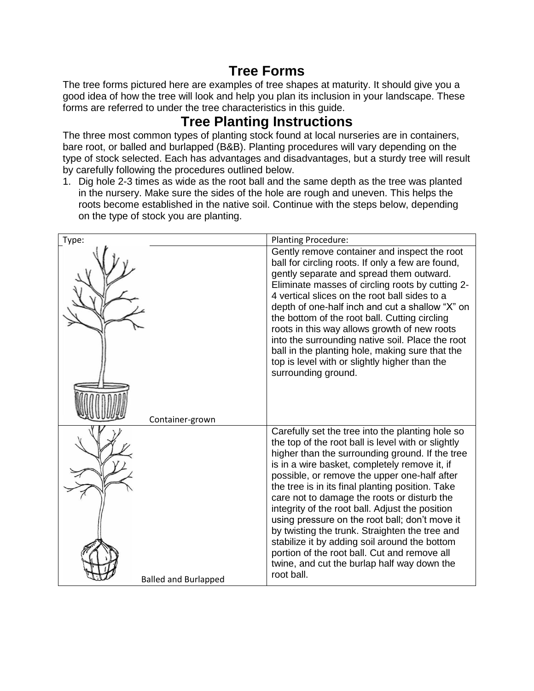## **Tree Forms**

The tree forms pictured here are examples of tree shapes at maturity. It should give you a good idea of how the tree will look and help you plan its inclusion in your landscape. These forms are referred to under the tree characteristics in this guide.

## **Tree Planting Instructions**

The three most common types of planting stock found at local nurseries are in containers, bare root, or balled and burlapped (B&B). Planting procedures will vary depending on the type of stock selected. Each has advantages and disadvantages, but a sturdy tree will result by carefully following the procedures outlined below.

1. Dig hole 2-3 times as wide as the root ball and the same depth as the tree was planted in the nursery. Make sure the sides of the hole are rough and uneven. This helps the roots become established in the native soil. Continue with the steps below, depending on the type of stock you are planting.

| Type:                       | <b>Planting Procedure:</b>                                                                                                                                                                                                                                                                                                                                                                                                                                                                                                                                                                                                                                                         |
|-----------------------------|------------------------------------------------------------------------------------------------------------------------------------------------------------------------------------------------------------------------------------------------------------------------------------------------------------------------------------------------------------------------------------------------------------------------------------------------------------------------------------------------------------------------------------------------------------------------------------------------------------------------------------------------------------------------------------|
| Container-grown             | Gently remove container and inspect the root<br>ball for circling roots. If only a few are found,<br>gently separate and spread them outward.<br>Eliminate masses of circling roots by cutting 2-<br>4 vertical slices on the root ball sides to a<br>depth of one-half inch and cut a shallow "X" on<br>the bottom of the root ball. Cutting circling<br>roots in this way allows growth of new roots<br>into the surrounding native soil. Place the root<br>ball in the planting hole, making sure that the<br>top is level with or slightly higher than the<br>surrounding ground.                                                                                              |
| <b>Balled and Burlapped</b> | Carefully set the tree into the planting hole so<br>the top of the root ball is level with or slightly<br>higher than the surrounding ground. If the tree<br>is in a wire basket, completely remove it, if<br>possible, or remove the upper one-half after<br>the tree is in its final planting position. Take<br>care not to damage the roots or disturb the<br>integrity of the root ball. Adjust the position<br>using pressure on the root ball; don't move it<br>by twisting the trunk. Straighten the tree and<br>stabilize it by adding soil around the bottom<br>portion of the root ball. Cut and remove all<br>twine, and cut the burlap half way down the<br>root ball. |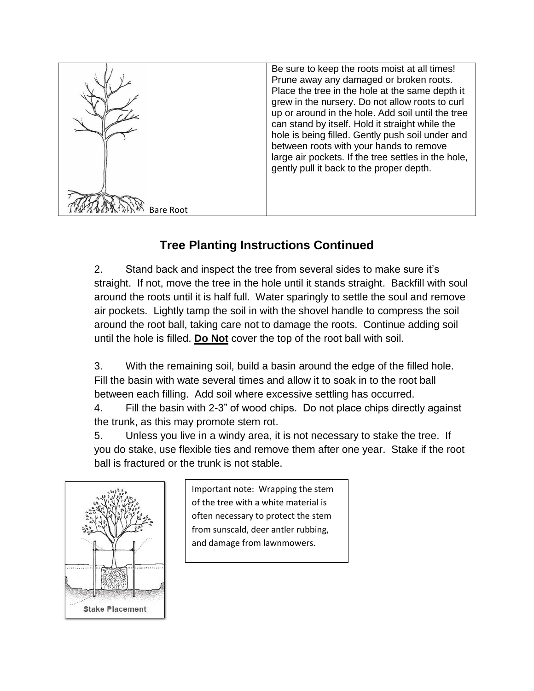

## **Tree Planting Instructions Continued**

2. Stand back and inspect the tree from several sides to make sure it's straight. If not, move the tree in the hole until it stands straight. Backfill with soul around the roots until it is half full. Water sparingly to settle the soul and remove air pockets. Lightly tamp the soil in with the shovel handle to compress the soil around the root ball, taking care not to damage the roots. Continue adding soil until the hole is filled. **Do Not** cover the top of the root ball with soil.

3. With the remaining soil, build a basin around the edge of the filled hole. Fill the basin with wate several times and allow it to soak in to the root ball between each filling. Add soil where excessive settling has occurred.

4. Fill the basin with 2-3" of wood chips. Do not place chips directly against the trunk, as this may promote stem rot.

5. Unless you live in a windy area, it is not necessary to stake the tree. If you do stake, use flexible ties and remove them after one year. Stake if the root ball is fractured or the trunk is not stable.



Important note: Wrapping the stem of the tree with a white material is often necessary to protect the stem from sunscald, deer antler rubbing, and damage from lawnmowers.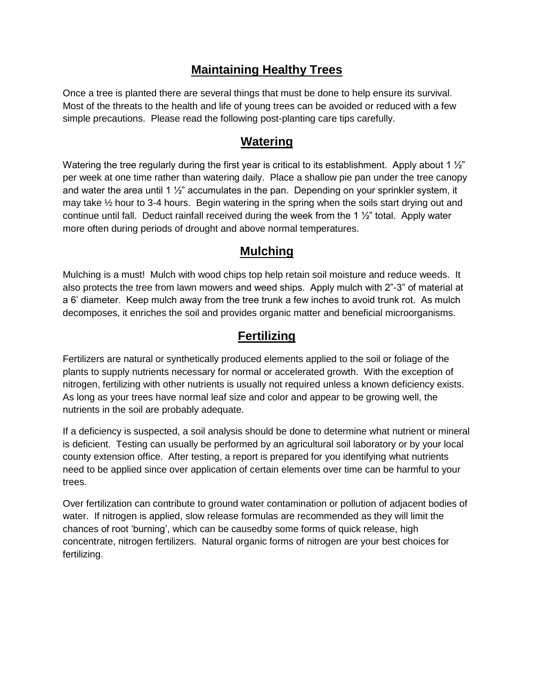#### **Maintaining Healthy Trees**

Once a tree is planted there are several things that must be done to help ensure its survival. Most of the threats to the health and life of young trees can be avoided or reduced with a few simple precautions. Please read the following post-planting care tips carefully.

#### **Watering**

Watering the tree regularly during the first year is critical to its establishment. Apply about 1  $\frac{1}{2}$ " per week at one time rather than watering daily. Place a shallow pie pan under the tree canopy and water the area until 1  $\frac{1}{2}$  accumulates in the pan. Depending on your sprinkler system, it may take  $\frac{1}{2}$  hour to 3-4 hours. Begin watering in the spring when the soils start drying out and continue until fall. Deduct rainfall received during the week from the 1  $\frac{1}{2}$ " total. Apply water more often during periods of drought and above normal temperatures.

#### **Mulching**

Mulching is a must! Mulch with wood chips top help retain soil moisture and reduce weeds. It also protects the tree from lawn mowers and weed ships. Apply mulch with 2"-3" of material at a 6' diameter. Keep mulch away from the tree trunk a few inches to avoid trunk rot. As mulch decomposes, it enriches the soil and provides organic matter and beneficial microorganisms.

#### **Fertilizing**

Fertilizers are natural or synthetically produced elements applied to the soil or foliage of the plants to supply nutrients necessary for normal or accelerated growth. With the exception of nitrogen, fertilizing with other nutrients is usually not required unless a known deficiency exists. As long as your trees have normal leaf size and color and appear to be growing well, the nutrients in the soil are probably adequate.

If a deficiency is suspected, a soil analysis should be done to determine what nutrient or mineral is deficient. Testing can usually be performed by an agricultural soil laboratory or by your local county extension office. After testing, a report is prepared for you identifying what nutrients need to be applied since over application of certain elements over time can be harmful to your trees.

Over fertilization can contribute to ground water contamination or pollution of adjacent bodies of water. If nitrogen is applied, slow release formulas are recommended as they will limit the chances of root 'burning', which can be causedby some forms of quick release, high concentrate, nitrogen fertilizers. Natural organic forms of nitrogen are your best choices for fertilizing.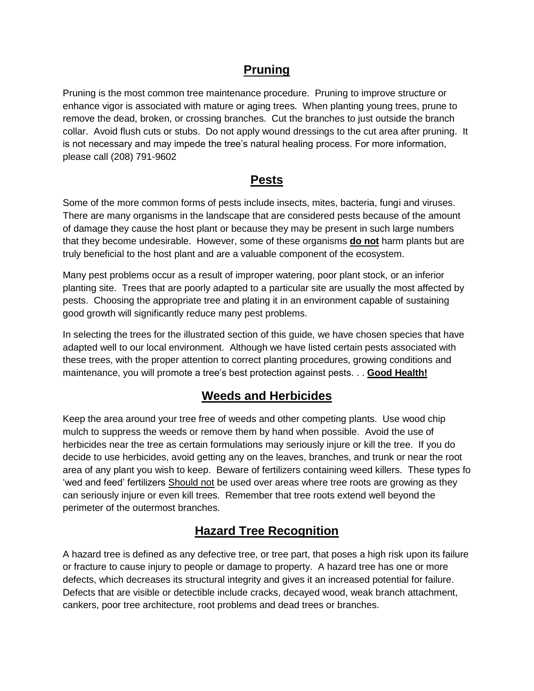#### **Pruning**

Pruning is the most common tree maintenance procedure. Pruning to improve structure or enhance vigor is associated with mature or aging trees. When planting young trees, prune to remove the dead, broken, or crossing branches. Cut the branches to just outside the branch collar. Avoid flush cuts or stubs. Do not apply wound dressings to the cut area after pruning. It is not necessary and may impede the tree's natural healing process. For more information, please call (208) 791-9602

#### **Pests**

Some of the more common forms of pests include insects, mites, bacteria, fungi and viruses. There are many organisms in the landscape that are considered pests because of the amount of damage they cause the host plant or because they may be present in such large numbers that they become undesirable. However, some of these organisms **do not** harm plants but are truly beneficial to the host plant and are a valuable component of the ecosystem.

Many pest problems occur as a result of improper watering, poor plant stock, or an inferior planting site. Trees that are poorly adapted to a particular site are usually the most affected by pests. Choosing the appropriate tree and plating it in an environment capable of sustaining good growth will significantly reduce many pest problems.

In selecting the trees for the illustrated section of this guide, we have chosen species that have adapted well to our local environment. Although we have listed certain pests associated with these trees, with the proper attention to correct planting procedures, growing conditions and maintenance, you will promote a tree's best protection against pests. . . **Good Health!**

#### **Weeds and Herbicides**

Keep the area around your tree free of weeds and other competing plants. Use wood chip mulch to suppress the weeds or remove them by hand when possible. Avoid the use of herbicides near the tree as certain formulations may seriously injure or kill the tree. If you do decide to use herbicides, avoid getting any on the leaves, branches, and trunk or near the root area of any plant you wish to keep. Beware of fertilizers containing weed killers. These types fo 'wed and feed' fertilizers Should not be used over areas where tree roots are growing as they can seriously injure or even kill trees. Remember that tree roots extend well beyond the perimeter of the outermost branches.

#### **Hazard Tree Recognition**

A hazard tree is defined as any defective tree, or tree part, that poses a high risk upon its failure or fracture to cause injury to people or damage to property. A hazard tree has one or more defects, which decreases its structural integrity and gives it an increased potential for failure. Defects that are visible or detectible include cracks, decayed wood, weak branch attachment, cankers, poor tree architecture, root problems and dead trees or branches.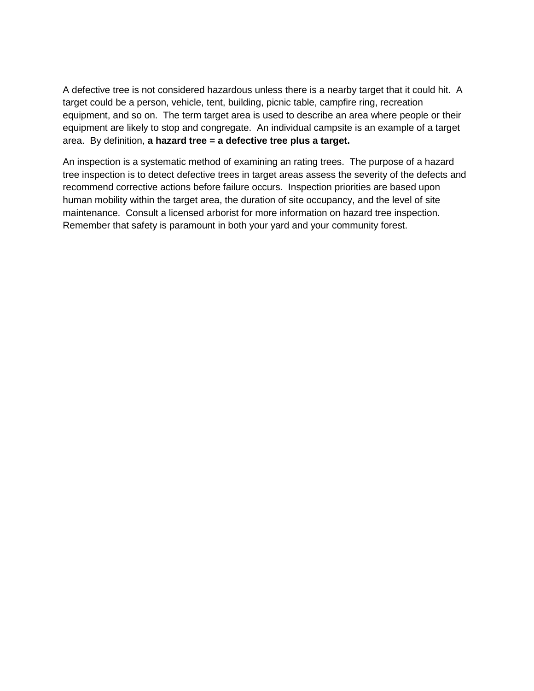A defective tree is not considered hazardous unless there is a nearby target that it could hit. A target could be a person, vehicle, tent, building, picnic table, campfire ring, recreation equipment, and so on. The term target area is used to describe an area where people or their equipment are likely to stop and congregate. An individual campsite is an example of a target area. By definition, **a hazard tree = a defective tree plus a target.**

An inspection is a systematic method of examining an rating trees. The purpose of a hazard tree inspection is to detect defective trees in target areas assess the severity of the defects and recommend corrective actions before failure occurs. Inspection priorities are based upon human mobility within the target area, the duration of site occupancy, and the level of site maintenance. Consult a licensed arborist for more information on hazard tree inspection. Remember that safety is paramount in both your yard and your community forest.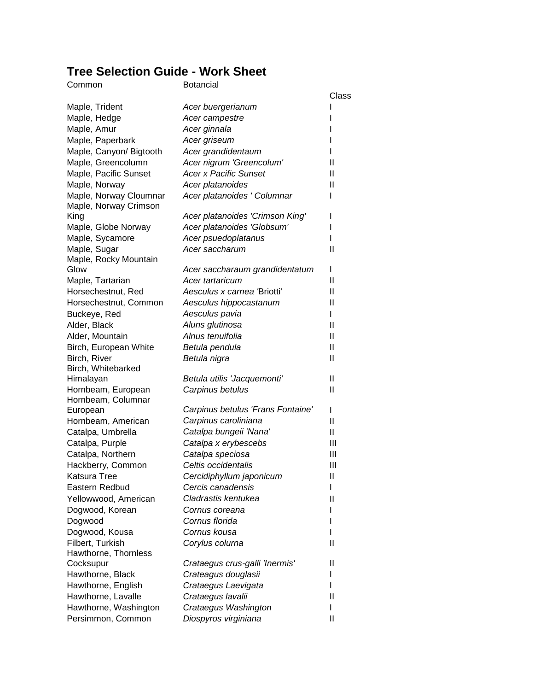### **Tree Selection Guide - Work Sheet**

| Common                                   | <b>Botancial</b>                  |              |
|------------------------------------------|-----------------------------------|--------------|
|                                          |                                   | Class        |
| Maple, Trident                           | Acer buergerianum                 |              |
| Maple, Hedge                             | Acer campestre                    |              |
| Maple, Amur                              | Acer ginnala                      |              |
| Maple, Paperbark                         | Acer griseum                      |              |
| Maple, Canyon/ Bigtooth                  | Acer grandidentaum                | L            |
| Maple, Greencolumn                       | Acer nigrum 'Greencolum'          | Ш            |
| Maple, Pacific Sunset                    | <b>Acer x Pacific Sunset</b>      | Ш            |
| Maple, Norway                            | Acer platanoides                  | Ш            |
| Maple, Norway Cloumnar                   | Acer platanoides ' Columnar       | I            |
| Maple, Norway Crimson                    |                                   |              |
| King                                     | Acer platanoides 'Crimson King'   | ı            |
| Maple, Globe Norway                      | Acer platanoides 'Globsum'        | ı            |
| Maple, Sycamore                          | Acer psuedoplatanus               |              |
| Maple, Sugar                             | Acer saccharum                    | Ш            |
| Maple, Rocky Mountain                    |                                   |              |
| Glow                                     | Acer saccharaum grandidentatum    | I            |
| Maple, Tartarian                         | Acer tartaricum                   | Ш            |
| Horsechestnut, Red                       | Aesculus x carnea 'Briotti'       | Ш            |
| Horsechestnut, Common                    | Aesculus hippocastanum            | $\mathbf{I}$ |
| Buckeye, Red                             | Aesculus pavia                    | L            |
| Alder, Black                             | Aluns glutinosa                   | $\mathbf{I}$ |
| Alder, Mountain                          | Alnus tenuifolia                  | $\mathbf{I}$ |
| Birch, European White                    | Betula pendula                    | $\mathbf{I}$ |
| Birch, River                             | Betula nigra                      | $\mathbf{I}$ |
| Birch, Whitebarked                       |                                   | $\mathbf{I}$ |
| Himalayan                                | Betula utilis 'Jacquemonti'       | Ш            |
| Hornbeam, European<br>Hornbeam, Columnar | Carpinus betulus                  |              |
| European                                 | Carpinus betulus 'Frans Fontaine' | L            |
| Hornbeam, American                       | Carpinus caroliniana              | $\mathbf{I}$ |
| Catalpa, Umbrella                        | Catalpa bungeii 'Nana'            | Ш            |
| Catalpa, Purple                          | Catalpa x erybescebs              | Ш            |
| Catalpa, Northern                        | Catalpa speciosa                  | Ш            |
| Hackberry, Common                        | Celtis occidentalis               | Ш            |
| Katsura Tree                             | Cercidiphyllum japonicum          | Ш            |
| Eastern Redbud                           | Cercis canadensis                 | L            |
| Yellowwood, American                     | Cladrastis kentukea               | Ш            |
| Dogwood, Korean                          | Cornus coreana                    |              |
| Dogwood                                  | Cornus florida                    |              |
| Dogwood, Kousa                           | Cornus kousa                      |              |
| Filbert, Turkish                         | Corylus colurna                   | Ш            |
| Hawthorne, Thornless                     |                                   |              |
| Cocksupur                                | Crataegus crus-galli 'Inermis'    | Ш            |
| Hawthorne, Black                         | Crateagus douglasii               | L            |
| Hawthorne, English                       | Crataegus Laevigata               | L            |
| Hawthorne, Lavalle                       | Crataegus lavalii                 | $\mathbf{I}$ |
| Hawthorne, Washington                    | Crataegus Washington              | L            |
| Persimmon, Common                        | Diospyros virginiana              | Ш            |
|                                          |                                   |              |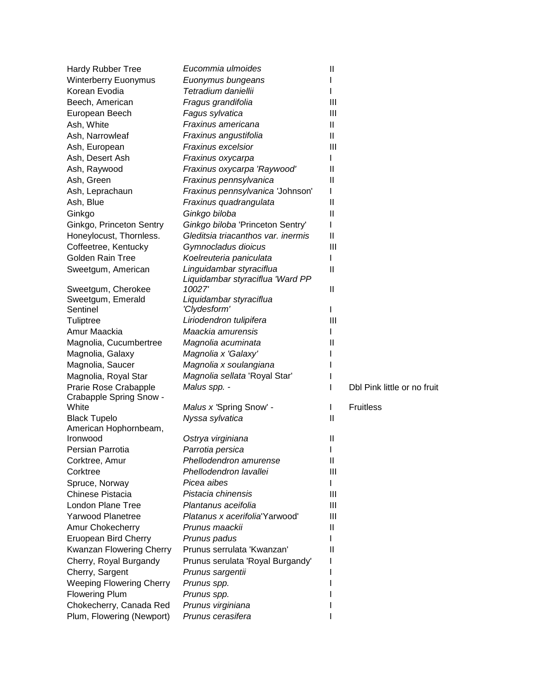| <b>Hardy Rubber Tree</b>        | Eucommia ulmoides                  | $\mathbf{I}$ |                             |
|---------------------------------|------------------------------------|--------------|-----------------------------|
| <b>Winterberry Euonymus</b>     | Euonymus bungeans                  |              |                             |
| Korean Evodia                   | Tetradium daniellii                |              |                             |
| Beech, American                 | Fragus grandifolia                 | Ш            |                             |
| European Beech                  | Fagus sylvatica                    | Ш            |                             |
| Ash, White                      | Fraxinus americana                 | Ш            |                             |
| Ash, Narrowleaf                 | Fraxinus angustifolia              | Ш            |                             |
| Ash, European                   | Fraxinus excelsior                 | Ш            |                             |
| Ash, Desert Ash                 | Fraxinus oxycarpa                  |              |                             |
| Ash, Raywood                    | Fraxinus oxycarpa 'Raywood'        | Ш            |                             |
| Ash, Green                      | Fraxinus pennsylvanica             | $\mathbf{I}$ |                             |
| Ash, Leprachaun                 | Fraxinus pennsylvanica 'Johnson'   |              |                             |
| Ash, Blue                       | Fraxinus quadrangulata             | $\mathbf{I}$ |                             |
| Ginkgo                          | Ginkgo biloba                      | $\mathbf{I}$ |                             |
| Ginkgo, Princeton Sentry        | Ginkgo biloba 'Princeton Sentry'   |              |                             |
| Honeylocust, Thornless.         | Gleditsia triacanthos var. inermis | $\mathbf{I}$ |                             |
| Coffeetree, Kentucky            | Gymnocladus dioicus                | Ш            |                             |
| Golden Rain Tree                | Koelreuteria paniculata            |              |                             |
| Sweetgum, American              | Linguidambar styraciflua           | $\mathbf{I}$ |                             |
|                                 | Liquidambar styraciflua 'Ward PP   |              |                             |
| Sweetgum, Cherokee              | 10027'                             | Ш            |                             |
| Sweetgum, Emerald               | Liquidambar styraciflua            |              |                             |
| Sentinel                        | 'Clydesform'                       | I            |                             |
| Tuliptree                       | Liriodendron tulipifera            | Ш            |                             |
| Amur Maackia                    | Maackia amurensis                  |              |                             |
| Magnolia, Cucumbertree          | Magnolia acuminata                 | Ш            |                             |
| Magnolia, Galaxy                | Magnolia x 'Galaxy'                |              |                             |
| Magnolia, Saucer                | Magnolia x soulangiana             |              |                             |
| Magnolia, Royal Star            | Magnolia sellata 'Royal Star'      |              |                             |
| Prarie Rose Crabapple           | Malus spp. -                       | I            | Dbl Pink little or no fruit |
| Crabapple Spring Snow -         |                                    |              |                             |
| White                           | Malus x 'Spring Snow' -            | L            | <b>Fruitless</b>            |
| <b>Black Tupelo</b>             | Nyssa sylvatica                    | Ш            |                             |
| American Hophornbeam,           |                                    |              |                             |
| Ironwood                        | Ostrya virginiana                  | $\mathbf{I}$ |                             |
| Persian Parrotia                | Parrotia persica                   | I            |                             |
| Corktree, Amur                  | Phellodendron amurense             | Ш            |                             |
| Corktree                        | Phellodendron lavallei             | Ш            |                             |
| Spruce, Norway                  | Picea aibes                        |              |                             |
| <b>Chinese Pistacia</b>         | Pistacia chinensis                 | Ш            |                             |
| London Plane Tree               | Plantanus aceifolia                | Ш            |                             |
| <b>Yarwood Planetree</b>        | Platanus x acerifolia'Yarwood'     | Ш            |                             |
| Amur Chokecherry                | Prunus maackii                     | Ш            |                             |
| Eruopean Bird Cherry            | Prunus padus                       |              |                             |
| Kwanzan Flowering Cherry        | Prunus serrulata 'Kwanzan'         | Ш            |                             |
| Cherry, Royal Burgandy          | Prunus serulata 'Royal Burgandy'   |              |                             |
| Cherry, Sargent                 | Prunus sargentii                   |              |                             |
| <b>Weeping Flowering Cherry</b> | Prunus spp.                        |              |                             |
| <b>Flowering Plum</b>           | Prunus spp.                        |              |                             |
| Chokecherry, Canada Red         | Prunus virginiana                  |              |                             |
| Plum, Flowering (Newport)       | Prunus cerasifera                  |              |                             |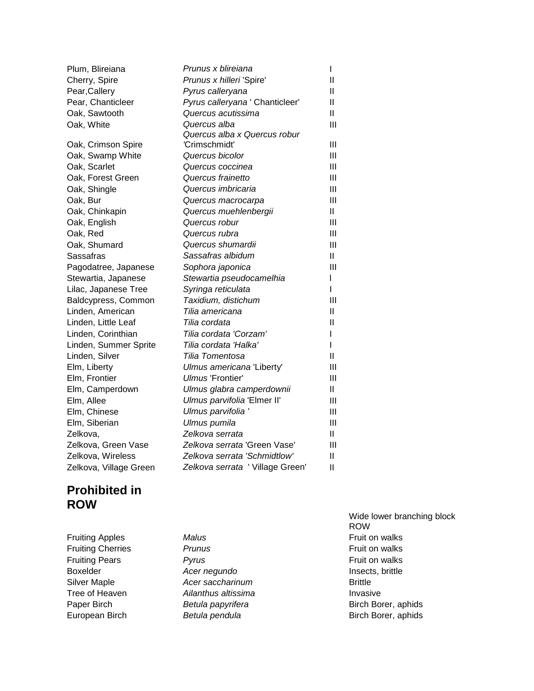| Plum, Blireiana        | Prunus x blireiana               | L              |
|------------------------|----------------------------------|----------------|
| Cherry, Spire          | Prunus x hilleri 'Spire'         | Ш              |
| Pear, Callery          | Pyrus calleryana                 | Ш              |
| Pear, Chanticleer      | Pyrus calleryana ' Chanticleer'  | $\mathbf{I}$   |
| Oak, Sawtooth          | Quercus acutissima               | Ш.             |
| Oak, White             | Quercus alba                     | $\mathbf{III}$ |
|                        | Quercus alba x Quercus robur     |                |
| Oak, Crimson Spire     | 'Crimschmidt'                    | Ш              |
| Oak, Swamp White       | Quercus bicolor                  | Ш              |
| Oak, Scarlet           | Quercus coccinea                 | $\mathbf{  }$  |
| Oak, Forest Green      | Quercus frainetto                | Ш              |
| Oak, Shingle           | Quercus imbricaria               | $\mathbf{  }$  |
| Oak, Bur               | Quercus macrocarpa               | Ш              |
| Oak, Chinkapin         | Quercus muehlenbergii            | $\mathbf{II}$  |
| Oak, English           | Quercus robur                    | $\mathbf{III}$ |
| Oak, Red               | Quercus rubra                    | Ш              |
| Oak, Shumard           | Quercus shumardii                | Ш              |
| Sassafras              | Sassafras albidum                | Ш.             |
| Pagodatree, Japanese   | Sophora japonica                 | $\mathbf{III}$ |
| Stewartia, Japanese    | Stewartia pseudocamelhia         | L              |
| Lilac, Japanese Tree   | Syringa reticulata               | L              |
| Baldcypress, Common    | Taxidium, distichum              | Ш              |
| Linden, American       | Tilia americana                  | Ш.             |
| Linden, Little Leaf    | Tilia cordata                    | Ш              |
| Linden, Corinthian     | Tilia cordata 'Corzam'           | L              |
| Linden, Summer Sprite  | Tilia cordata 'Halka'            | L              |
| Linden, Silver         | Tilia Tomentosa                  | Ш              |
| Elm, Liberty           | Ulmus americana 'Liberty'        | Ш              |
| Elm, Frontier          | Ulmus 'Frontier'                 | Ш              |
| Elm, Camperdown        | Ulmus glabra camperdownii        | Ш              |
| Elm, Allee             | Ulmus parvifolia 'Elmer II'      | Ш              |
| Elm, Chinese           | Ulmus parvifolia'                | $\mathbf{III}$ |
| Elm, Siberian          | Ulmus pumila                     | Ш              |
| Zelkova,               | Zelkova serrata                  | Ш              |
| Zelkova, Green Vase    | Zelkova serrata 'Green Vase'     | Ш              |
| Zelkova, Wireless      | Zelkova serrata 'Schmidtlow'     | Ш              |
| Zelkova, Village Green | Zelkova serrata ' Village Green' | $\mathbf{I}$   |

#### **Prohibited in ROW**

**Fruiting Apples** *Malus Malus* **Fruit on walks Fruiting Cherries Prunus** *Prunus* **Propose** *Prunus* **Prunus Prunus Prunus Propose** *Prunus* **Propose** *Prunus* **Propose** *Prunus* **Propose** *Prunus* **Propose** *Prunus* **Propose** *Propose**Propose Propose Propose* **Fruiting Pears Pyrus Pyrus Pruit on walks** Boxelder *Acer negundo* Insects, brittle **Silver Maple** *Acer saccharinum* **Brittle** Tree of Heaven *Ailanthus altissima* Invasive

Wide lower branching block ROW Paper Birch **Birch** *Betula papyrifera* Birch Borer, aphids European Birch **Betula pendula** Birch Borer, aphids **Birch Borer**, aphids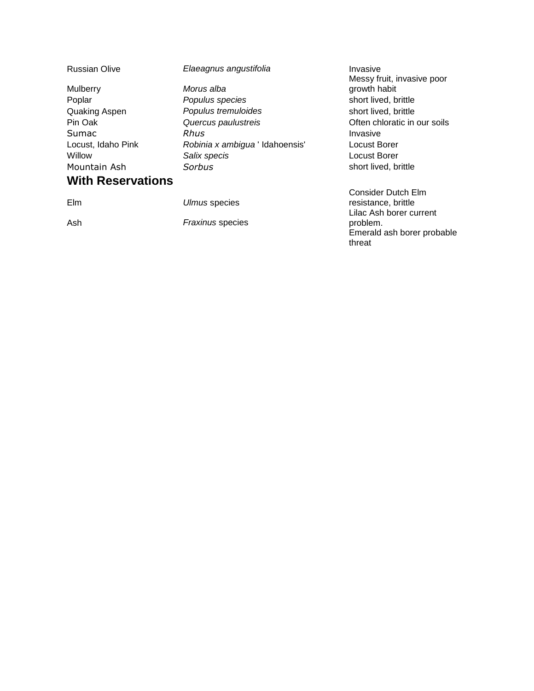| <b>Russian Olive</b>     | Elaeagnus angustifolia          | Invasive<br>Messy fruit, invasive poor |
|--------------------------|---------------------------------|----------------------------------------|
| Mulberry                 | Morus alba                      | growth habit                           |
| Poplar                   | Populus species                 | short lived, brittle                   |
| Quaking Aspen            | Populus tremuloides             | short lived, brittle                   |
| Pin Oak                  | Quercus paulustreis             | Often chloratic in our soils           |
| Sumac                    | Rhus                            | Invasive                               |
| Locust, Idaho Pink       | Robinia x ambigua ' Idahoensis' | Locust Borer                           |
| Willow                   | Salix specis                    | Locust Borer                           |
| Mountain Ash             | Sorbus                          | short lived, brittle                   |
| <b>With Reservations</b> |                                 |                                        |
|                          |                                 | Consider Dutch Elm                     |
| <b>Elm</b>               | Ulmus species                   | resistance, brittle                    |
|                          |                                 | Lilac Ash borer current                |
| Ash                      | <b>Fraxinus species</b>         | problem.                               |
|                          |                                 | Emerald ash borer probable<br>threat   |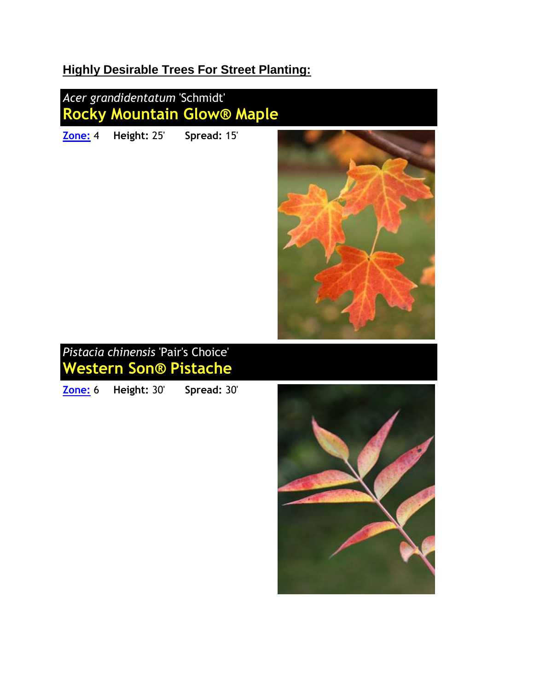## **Highly Desirable Trees For Street Planting:**



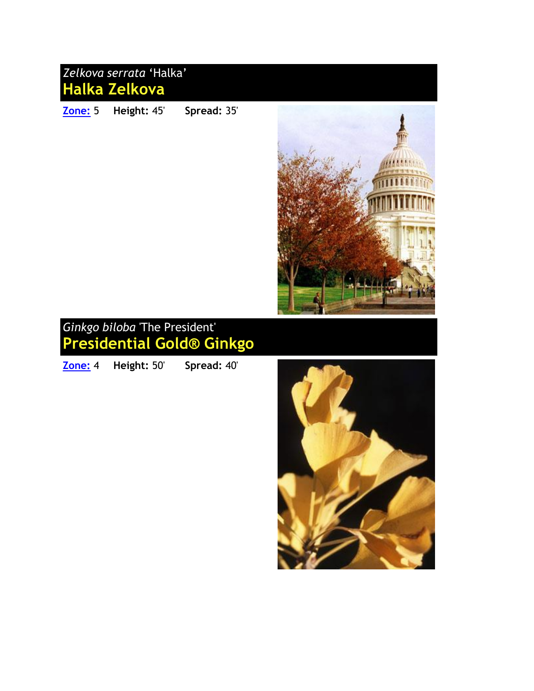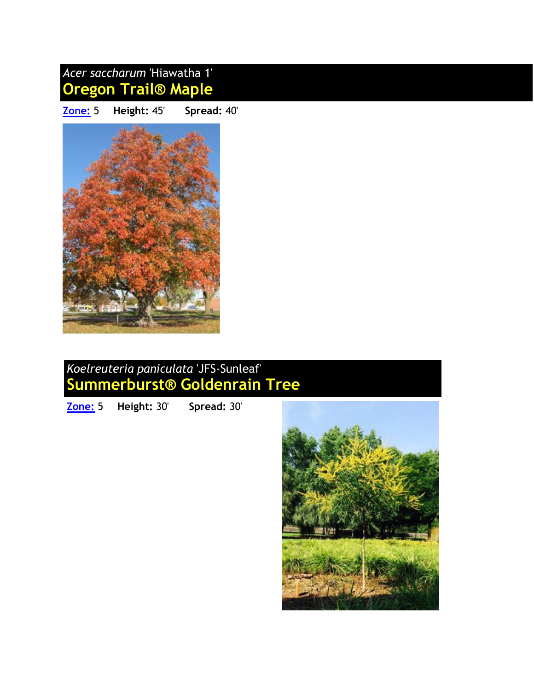

## *Koelreuteria paniculata* 'JFS-Sunleaf' **Summerburst® Goldenrain Tree**

**[Zone:](http://www.jfschmidt.com/introductions/summerburst/index.html)** 5 **Height:** 30' **Spread:** 30'

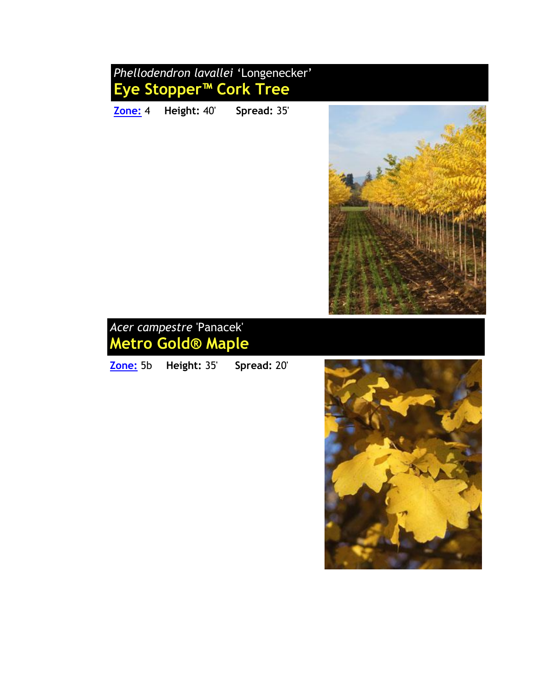## *Phellodendron lavallei* 'Longenecker' **Eye Stopper™ Cork Tree**

**[Zone:](http://www.jfschmidt.com/introductions/eyestopper/index.html)** 4 **Height:** 40' **Spread:** 35'





**[Zone:](http://www.jfschmidt.com/introductions/metrogold/index.html)** 5b **Height:** 35' **Spread:** 20'